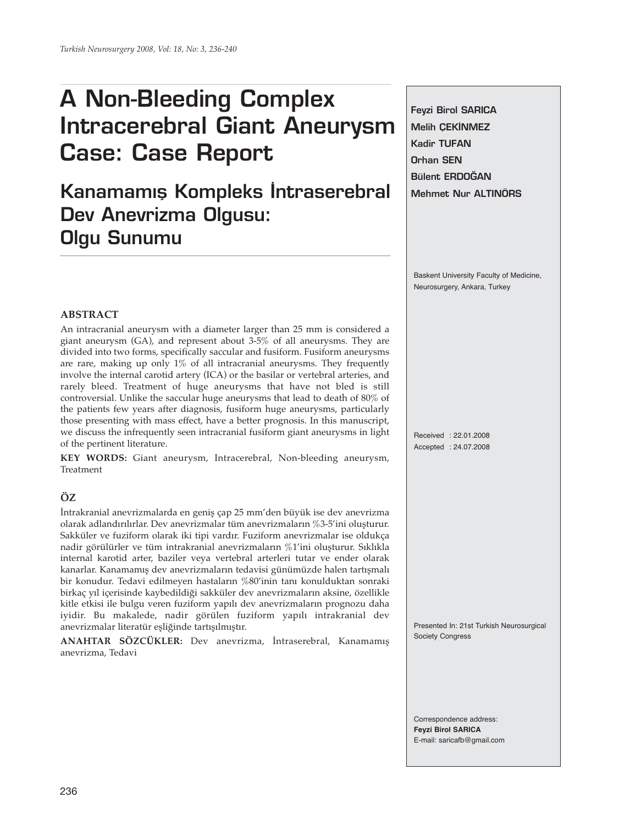# **A Non-Bleeding Complex Intracerebral Giant Aneurysm Case: Case Report**

# **Kanamamış Kompleks İntraserebral Dev Anevrizma Olgusu: Olgu Sunumu**

**Feyzi Birol SARICA Melih CEKİNMEZ Kadir TUFAN Orhan SEN Bülent ERDOĞAN Mehmet Nur ALTINÖRS**

Baskent University Faculty of Medicine, Neurosurgery, Ankara, Turkey

### **ABSTRACT**

An intracranial aneurysm with a diameter larger than 25 mm is considered a giant aneurysm (GA), and represent about 3-5% of all aneurysms. They are divided into two forms, specifically saccular and fusiform. Fusiform aneurysms are rare, making up only 1% of all intracranial aneurysms. They frequently involve the internal carotid artery (ICA) or the basilar or vertebral arteries, and rarely bleed. Treatment of huge aneurysms that have not bled is still controversial. Unlike the saccular huge aneurysms that lead to death of 80% of the patients few years after diagnosis, fusiform huge aneurysms, particularly those presenting with mass effect, have a better prognosis. In this manuscript, we discuss the infrequently seen intracranial fusiform giant aneurysms in light of the pertinent literature.

**KEY WORDS:** Giant aneurysm, Intracerebral, Non-bleeding aneurysm, Treatment

## **ÖZ**

İntrakranial anevrizmalarda en geniş çap 25 mm'den büyük ise dev anevrizma olarak adlandırılırlar. Dev anevrizmalar tüm anevrizmaların %3-5'ini oluşturur. Sakküler ve fuziform olarak iki tipi vardır. Fuziform anevrizmalar ise oldukça nadir görülürler ve tüm intrakranial anevrizmaların %1'ini oluşturur. Sıklıkla internal karotid arter, baziler veya vertebral arterleri tutar ve ender olarak kanarlar. Kanamamış dev anevrizmaların tedavisi günümüzde halen tartışmalı bir konudur. Tedavi edilmeyen hastaların %80'inin tanı konulduktan sonraki birkaç yıl içerisinde kaybedildiği sakküler dev anevrizmaların aksine, özellikle kitle etkisi ile bulgu veren fuziform yapılı dev anevrizmaların prognozu daha iyidir. Bu makalede, nadir görülen fuziform yapılı intrakranial dev anevrizmalar literatür eşliğinde tartışılmıştır.

**ANAHTAR SÖZCÜKLER:** Dev anevrizma, İntraserebral, Kanamamış anevrizma, Tedavi

Received : 22.01.2008 Accepted : 24.07.2008

Presented In: 21st Turkish Neurosurgical Society Congress

Correspondence address: **Feyzi Birol SARICA** E-mail: saricafb@gmail.com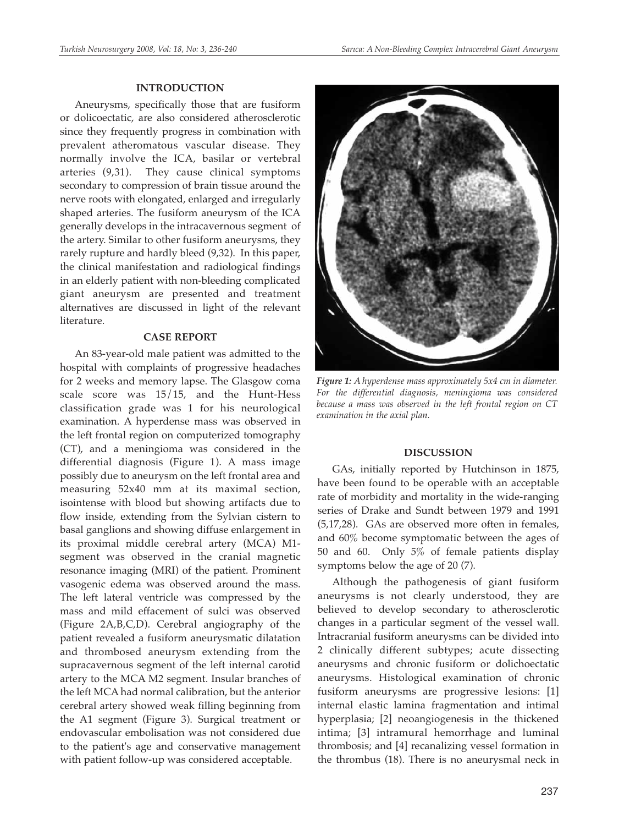#### **INTRODUCTION**

Aneurysms, specifically those that are fusiform or dolicoectatic, are also considered atherosclerotic since they frequently progress in combination with prevalent atheromatous vascular disease. They normally involve the ICA, basilar or vertebral arteries (9,31). They cause clinical symptoms secondary to compression of brain tissue around the nerve roots with elongated, enlarged and irregularly shaped arteries. The fusiform aneurysm of the ICA generally develops in the intracavernous segment of the artery. Similar to other fusiform aneurysms, they rarely rupture and hardly bleed (9,32). In this paper, the clinical manifestation and radiological findings in an elderly patient with non-bleeding complicated giant aneurysm are presented and treatment alternatives are discussed in light of the relevant literature.

#### **CASE REPORT**

An 83-year-old male patient was admitted to the hospital with complaints of progressive headaches for 2 weeks and memory lapse. The Glasgow coma scale score was 15/15, and the Hunt-Hess classification grade was 1 for his neurological examination. A hyperdense mass was observed in the left frontal region on computerized tomography (CT), and a meningioma was considered in the differential diagnosis (Figure 1). A mass image possibly due to aneurysm on the left frontal area and measuring 52x40 mm at its maximal section, isointense with blood but showing artifacts due to flow inside, extending from the Sylvian cistern to basal ganglions and showing diffuse enlargement in its proximal middle cerebral artery (MCA) M1 segment was observed in the cranial magnetic resonance imaging (MRI) of the patient. Prominent vasogenic edema was observed around the mass. The left lateral ventricle was compressed by the mass and mild effacement of sulci was observed (Figure 2A,B,C,D). Cerebral angiography of the patient revealed a fusiform aneurysmatic dilatation and thrombosed aneurysm extending from the supracavernous segment of the left internal carotid artery to the MCA M2 segment. Insular branches of the left MCA had normal calibration, but the anterior cerebral artery showed weak filling beginning from the A1 segment (Figure 3). Surgical treatment or endovascular embolisation was not considered due to the patient's age and conservative management with patient follow-up was considered acceptable.



*Figure 1: A hyperdense mass approximately 5x4 cm in diameter. For the differential diagnosis, meningioma was considered because a mass was observed in the left frontal region on CT examination in the axial plan.* 

#### **DISCUSSION**

GAs, initially reported by Hutchinson in 1875, have been found to be operable with an acceptable rate of morbidity and mortality in the wide-ranging series of Drake and Sundt between 1979 and 1991 (5,17,28). GAs are observed more often in females, and 60% become symptomatic between the ages of 50 and 60. Only 5% of female patients display symptoms below the age of 20 (7).

Although the pathogenesis of giant fusiform aneurysms is not clearly understood, they are believed to develop secondary to atherosclerotic changes in a particular segment of the vessel wall. Intracranial fusiform aneurysms can be divided into 2 clinically different subtypes; acute dissecting aneurysms and chronic fusiform or dolichoectatic aneurysms. Histological examination of chronic fusiform aneurysms are progressive lesions: [1] internal elastic lamina fragmentation and intimal hyperplasia; [2] neoangiogenesis in the thickened intima; [3] intramural hemorrhage and luminal thrombosis; and [4] recanalizing vessel formation in the thrombus (18). There is no aneurysmal neck in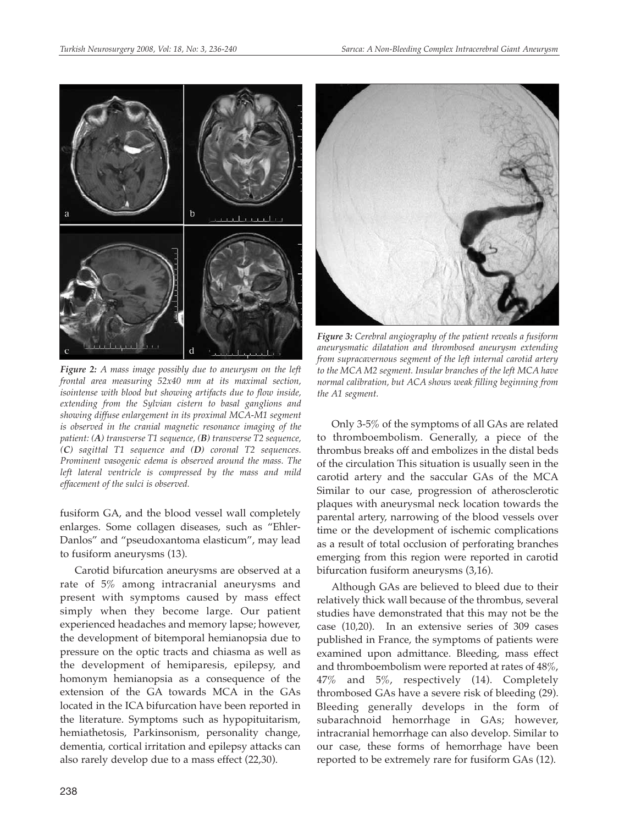

*Figure 2: A mass image possibly due to aneurysm on the left frontal area measuring 52x40 mm at its maximal section, isointense with blood but showing artifacts due to flow inside, extending from the Sylvian cistern to basal ganglions and showing diffuse enlargement in its proximal MCA-M1 segment is observed in the cranial magnetic resonance imaging of the patient: (A) transverse T1 sequence, (B) transverse T2 sequence, (C) sagittal T1 sequence and (D) coronal T2 sequences. Prominent vasogenic edema is observed around the mass. The left lateral ventricle is compressed by the mass and mild effacement of the sulci is observed.*

fusiform GA, and the blood vessel wall completely enlarges. Some collagen diseases, such as "Ehler-Danlos" and "pseudoxantoma elasticum", may lead to fusiform aneurysms (13).

Carotid bifurcation aneurysms are observed at a rate of 5% among intracranial aneurysms and present with symptoms caused by mass effect simply when they become large. Our patient experienced headaches and memory lapse; however, the development of bitemporal hemianopsia due to pressure on the optic tracts and chiasma as well as the development of hemiparesis, epilepsy, and homonym hemianopsia as a consequence of the extension of the GA towards MCA in the GAs located in the ICA bifurcation have been reported in the literature. Symptoms such as hypopituitarism, hemiathetosis, Parkinsonism, personality change, dementia, cortical irritation and epilepsy attacks can also rarely develop due to a mass effect (22,30).



*Figure 3: Cerebral angiography of the patient reveals a fusiform aneurysmatic dilatation and thrombosed aneurysm extending from supracavernous segment of the left internal carotid artery to the MCA M2 segment. Insular branches of the left MCA have normal calibration, but ACA shows weak filling beginning from the A1 segment.*

Only 3-5% of the symptoms of all GAs are related to thromboembolism. Generally, a piece of the thrombus breaks off and embolizes in the distal beds of the circulation This situation is usually seen in the carotid artery and the saccular GAs of the MCA Similar to our case, progression of atherosclerotic plaques with aneurysmal neck location towards the parental artery, narrowing of the blood vessels over time or the development of ischemic complications as a result of total occlusion of perforating branches emerging from this region were reported in carotid bifurcation fusiform aneurysms (3,16).

Although GAs are believed to bleed due to their relatively thick wall because of the thrombus, several studies have demonstrated that this may not be the case (10,20). In an extensive series of 309 cases published in France, the symptoms of patients were examined upon admittance. Bleeding, mass effect and thromboembolism were reported at rates of 48%,  $47\%$  and  $5\%$ , respectively (14). Completely thrombosed GAs have a severe risk of bleeding (29). Bleeding generally develops in the form of subarachnoid hemorrhage in GAs; however, intracranial hemorrhage can also develop. Similar to our case, these forms of hemorrhage have been reported to be extremely rare for fusiform GAs (12).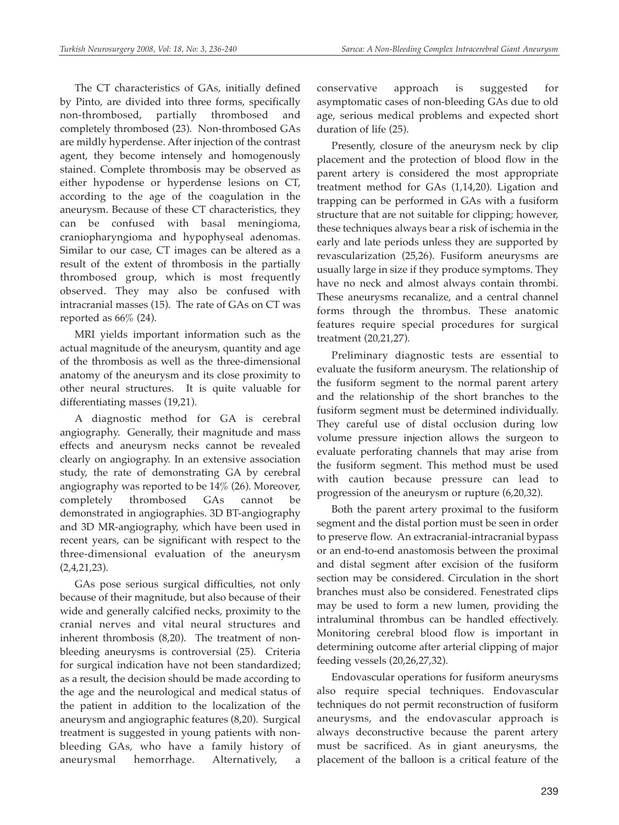The CT characteristics of GAs, initially defined by Pinto, are divided into three forms, specifically non-thrombosed, partially thrombosed and completely thrombosed (23). Non-thrombosed GAs are mildly hyperdense. After injection of the contrast agent, they become intensely and homogenously stained. Complete thrombosis may be observed as either hypodense or hyperdense lesions on CT, according to the age of the coagulation in the aneurysm. Because of these CT characteristics, they can be confused with basal meningioma, craniopharyngioma and hypophyseal adenomas. Similar to our case, CT images can be altered as a result of the extent of thrombosis in the partially thrombosed group, which is most frequently observed. They may also be confused with intracranial masses (15). The rate of GAs on CT was reported as  $66\%$  (24).

MRI yields important information such as the actual magnitude of the aneurysm, quantity and age of the thrombosis as well as the three-dimensional anatomy of the aneurysm and its close proximity to other neural structures. It is quite valuable for differentiating masses (19,21).

A diagnostic method for GA is cerebral angiography. Generally, their magnitude and mass effects and aneurysm necks cannot be revealed clearly on angiography. In an extensive association study, the rate of demonstrating GA by cerebral angiography was reported to be 14% (26). Moreover, completely thrombosed GAs cannot be demonstrated in angiographies. 3D BT-angiography and 3D MR-angiography, which have been used in recent years, can be significant with respect to the three-dimensional evaluation of the aneurysm  $(2,4,21,23)$ .

GAs pose serious surgical difficulties, not only because of their magnitude, but also because of their wide and generally calcified necks, proximity to the cranial nerves and vital neural structures and inherent thrombosis (8,20). The treatment of nonbleeding aneurysms is controversial (25). Criteria for surgical indication have not been standardized; as a result, the decision should be made according to the age and the neurological and medical status of the patient in addition to the localization of the aneurysm and angiographic features (8,20). Surgical treatment is suggested in young patients with nonbleeding GAs, who have a family history of aneurysmal hemorrhage. Alternatively, a

conservative approach is suggested for asymptomatic cases of non-bleeding GAs due to old age, serious medical problems and expected short duration of life (25).

Presently, closure of the aneurysm neck by clip placement and the protection of blood flow in the parent artery is considered the most appropriate treatment method for GAs (1,14,20). Ligation and trapping can be performed in GAs with a fusiform structure that are not suitable for clipping; however, these techniques always bear a risk of ischemia in the early and late periods unless they are supported by revascularization (25,26). Fusiform aneurysms are usually large in size if they produce symptoms. They have no neck and almost always contain thrombi. These aneurysms recanalize, and a central channel forms through the thrombus. These anatomic features require special procedures for surgical treatment (20,21,27).

Preliminary diagnostic tests are essential to evaluate the fusiform aneurysm. The relationship of the fusiform segment to the normal parent artery and the relationship of the short branches to the fusiform segment must be determined individually. They careful use of distal occlusion during low volume pressure injection allows the surgeon to evaluate perforating channels that may arise from the fusiform segment. This method must be used with caution because pressure can lead to progression of the aneurysm or rupture (6,20,32).

Both the parent artery proximal to the fusiform segment and the distal portion must be seen in order to preserve flow. An extracranial-intracranial bypass or an end-to-end anastomosis between the proximal and distal segment after excision of the fusiform section may be considered. Circulation in the short branches must also be considered. Fenestrated clips may be used to form a new lumen, providing the intraluminal thrombus can be handled effectively. Monitoring cerebral blood flow is important in determining outcome after arterial clipping of major feeding vessels (20,26,27,32).

Endovascular operations for fusiform aneurysms also require special techniques. Endovascular techniques do not permit reconstruction of fusiform aneurysms, and the endovascular approach is always deconstructive because the parent artery must be sacrificed. As in giant aneurysms, the placement of the balloon is a critical feature of the